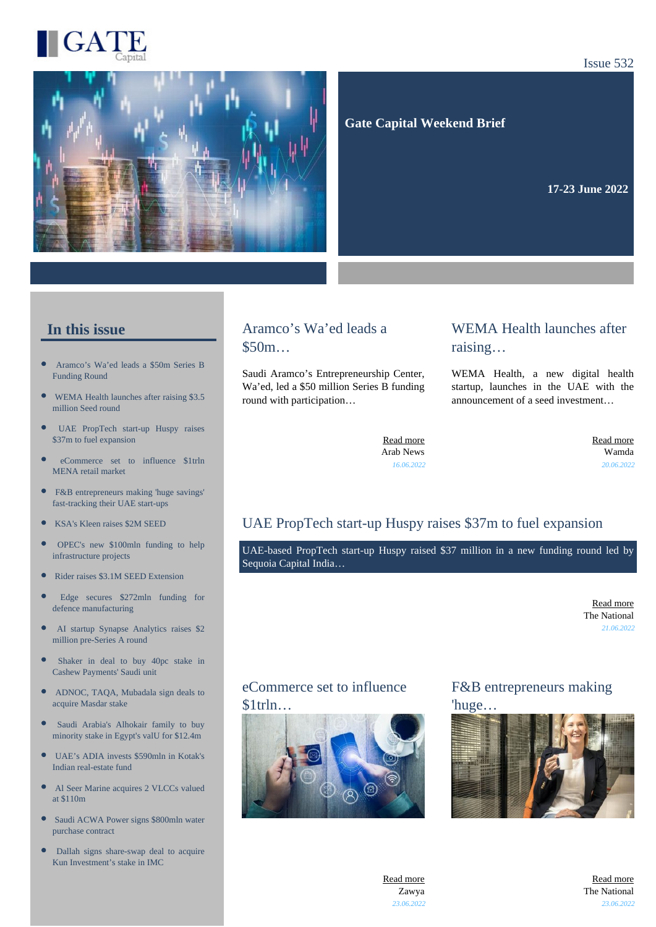

#### Issue 532



 **Gate Capital Weekend Brief**

**17-23 June 2022** 

## **In this issue**

- [Aramco's Wa'ed leads a \\$50m Series B](https://gatecapital.net/back_office/newsletters/tracking/6051/674) [Funding Round](https://gatecapital.net/back_office/newsletters/tracking/6051/674)
- $\bullet$ [WEMA Health launches after raising \\$3.5](https://gatecapital.net/back_office/newsletters/tracking/6066/674) [million Seed round](https://gatecapital.net/back_office/newsletters/tracking/6066/674)
- $\bullet$ [UAE PropTech start-up Huspy raises](https://gatecapital.net/back_office/newsletters/tracking/6057/674) [\\$37m to fuel expansion](https://gatecapital.net/back_office/newsletters/tracking/6057/674)
- œ [eCommerce set to influence \\$1trln](https://gatecapital.net/back_office/newsletters/tracking/6063/674) [MENA retail market](https://gatecapital.net/back_office/newsletters/tracking/6063/674)
- $\bullet$ [F&B entrepreneurs making 'huge savings'](https://gatecapital.net/back_office/newsletters/tracking/6068/674) [fast-tracking their UAE start-ups](https://gatecapital.net/back_office/newsletters/tracking/6068/674)
- $\bullet$ [KSA's Kleen raises \\$2M SEED](https://gatecapital.net/back_office/newsletters/tracking/6059/674)
- $\bullet$ [OPEC's new \\$100mln funding to help](https://gatecapital.net/back_office/newsletters/tracking/6062/674) [infrastructure projects](https://gatecapital.net/back_office/newsletters/tracking/6062/674)
- $\bullet$ [Rider raises \\$3.1M SEED Extension](https://gatecapital.net/back_office/newsletters/tracking/6056/674)
- [Edge secures \\$272mln funding for](https://gatecapital.net/back_office/newsletters/tracking/6060/674) [defence manufacturing](https://gatecapital.net/back_office/newsletters/tracking/6060/674)
- [AI startup Synapse Analytics raises \\$2](https://gatecapital.net/back_office/newsletters/tracking/6065/674) [million pre-Series A round](https://gatecapital.net/back_office/newsletters/tracking/6065/674)
- $\bullet$ [Shaker in deal to buy 40pc stake in](https://gatecapital.net/back_office/newsletters/tracking/6049/674) [Cashew Payments' Saudi unit](https://gatecapital.net/back_office/newsletters/tracking/6049/674)
- $\epsilon$ [ADNOC, TAQA, Mubadala sign deals to](https://gatecapital.net/back_office/newsletters/tracking/6052/674) [acquire Masdar stake](https://gatecapital.net/back_office/newsletters/tracking/6052/674)
- [Saudi Arabia's Alhokair family to buy](https://gatecapital.net/back_office/newsletters/tracking/6055/674) [minority stake in Egypt's valU for \\$12.4m](https://gatecapital.net/back_office/newsletters/tracking/6055/674)
- $\bullet$ [UAE's ADIA invests \\$590mln in Kotak's](https://gatecapital.net/back_office/newsletters/tracking/6053/674) [Indian real-estate fund](https://gatecapital.net/back_office/newsletters/tracking/6053/674)
- $\bullet$ [Al Seer Marine acquires 2 VLCCs valued](https://gatecapital.net/back_office/newsletters/tracking/6050/674) [at \\$110m](https://gatecapital.net/back_office/newsletters/tracking/6050/674)
- $\bullet$ [Saudi ACWA Power signs \\$800mln water](https://gatecapital.net/back_office/newsletters/tracking/6054/674) [purchase contract](https://gatecapital.net/back_office/newsletters/tracking/6054/674)
- $\bullet$ [Dallah signs share-swap deal to acquire](https://gatecapital.net/back_office/newsletters/tracking/6058/674) [Kun Investment's stake in IMC](https://gatecapital.net/back_office/newsletters/tracking/6058/674)

## Aramco's Wa'ed leads a \$50m…

Saudi Aramco's Entrepreneurship Center, Wa'ed, led a \$50 million Series B funding round with participation…

## WEMA Health launches after raising…

WEMA Health, a new digital health startup, launches in the UAE with the announcement of a seed investment…

[Read more](https://gatecapital.net/back_office/newsletters/tracking/6051/674) Arab News *16.06.2022*

[Read more](https://gatecapital.net/back_office/newsletters/tracking/6066/674) Wamda *20.06.2022*

## UAE PropTech start-up Huspy raises \$37m to fuel expansion

UAE-based PropTech start-up Huspy raised \$37 million in a new funding round led by Sequoia Capital India…

> [Read more](https://gatecapital.net/back_office/newsletters/tracking/6057/674) The National *21.06.2022*

#### eCommerce set to influence  $$1$ trln $\dots$



## F&B entrepreneurs making 'huge…





[Read more](https://gatecapital.net/back_office/newsletters/tracking/6068/674) The National *23.06.2022*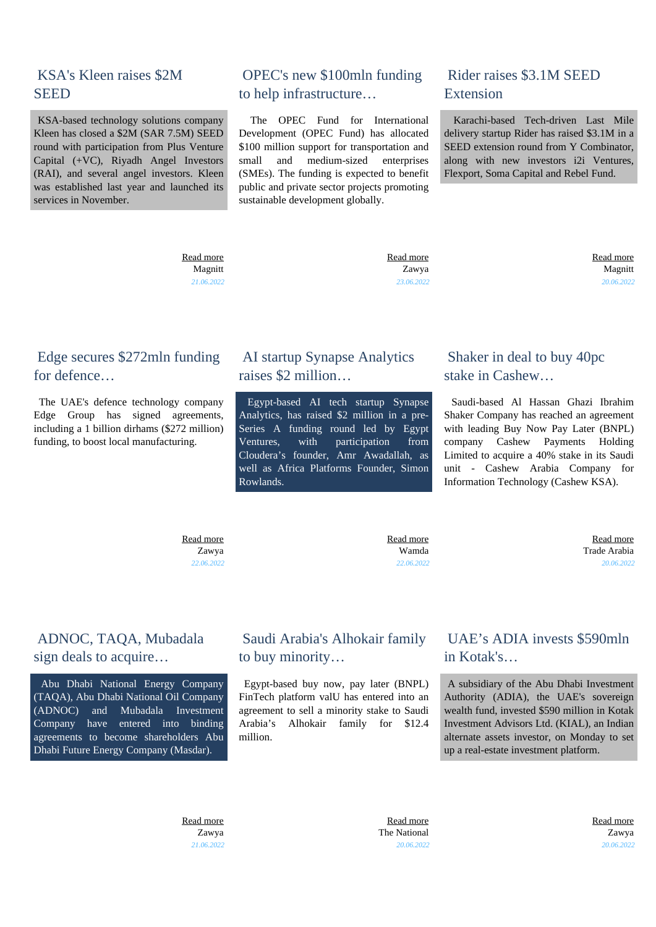## KSA's Kleen raises \$2M **SEED**

 KSA-based technology solutions company Kleen has closed a \$2M (SAR 7.5M) SEED round with participation from Plus Venture Capital (+VC), Riyadh Angel Investors (RAI), and several angel investors. Kleen was established last year and launched its services in November.

# OPEC's new \$100mln funding to help infrastructure…

 The OPEC Fund for International Development (OPEC Fund) has allocated \$100 million support for transportation and small and medium-sized enterprises (SMEs). The funding is expected to benefit public and private sector projects promoting sustainable development globally.

## Rider raises \$3.1M SEED Extension

 Karachi-based Tech-driven Last Mile delivery startup Rider has raised \$3.1M in a SEED extension round from Y Combinator, along with new investors i2i Ventures, Flexport, Soma Capital and Rebel Fund.

 [Read more](https://gatecapital.net/back_office/newsletters/tracking/6059/674) Magnitt *21.06.2022*  [Read more](https://gatecapital.net/back_office/newsletters/tracking/6062/674) Zawya *23.06.2022*  [Read more](https://gatecapital.net/back_office/newsletters/tracking/6056/674) Magnitt *20.06.2022*

## Edge secures \$272mln funding for defence

 The UAE's defence technology company Edge Group has signed agreements, including a 1 billion dirhams (\$272 million) funding, to boost local manufacturing.

## AI startup Synapse Analytics raises \$2 million…

 Egypt-based AI tech startup Synapse Analytics, has raised \$2 million in a pre-Series A funding round led by Egypt Ventures, with participation from Cloudera's founder, Amr Awadallah, as well as Africa Platforms Founder, Simon Rowlands.

## Shaker in deal to buy 40pc stake in Cashew…

 Saudi-based Al Hassan Ghazi Ibrahim Shaker Company has reached an agreement with leading Buy Now Pay Later (BNPL) company Cashew Payments Holding Limited to acquire a 40% stake in its Saudi unit - Cashew Arabia Company for Information Technology (Cashew KSA).

 [Read more](https://gatecapital.net/back_office/newsletters/tracking/6060/674) Zawya *22.06.2022*  [Read more](https://gatecapital.net/back_office/newsletters/tracking/6065/674) Wamda *22.06.2022*

 [Read more](https://gatecapital.net/back_office/newsletters/tracking/6049/674) Trade Arabia *20.06.2022*

## ADNOC, TAQA, Mubadala sign deals to acquire…

 Abu Dhabi National Energy Company (TAQA), Abu Dhabi National Oil Company (ADNOC) and Mubadala Investment Company have entered into binding agreements to become shareholders Abu Dhabi Future Energy Company (Masdar).

# Saudi Arabia's Alhokair family to buy minority…

 Egypt-based buy now, pay later (BNPL) FinTech platform valU has entered into an agreement to sell a minority stake to Saudi Arabia's Alhokair family for \$12.4 million.

## UAE's ADIA invests \$590mln in Kotak's…

 A subsidiary of the Abu Dhabi Investment Authority (ADIA), the UAE's sovereign wealth fund, invested \$590 million in Kotak Investment Advisors Ltd. (KIAL), an Indian alternate assets investor, on Monday to set up a real-estate investment platform.

 [Read more](https://gatecapital.net/back_office/newsletters/tracking/6052/674) Zawya *21.06.2022*

 [Read more](https://gatecapital.net/back_office/newsletters/tracking/6055/674) The National *20.06.2022*  [Read more](https://gatecapital.net/back_office/newsletters/tracking/6053/674) Zawya *20.06.2022*